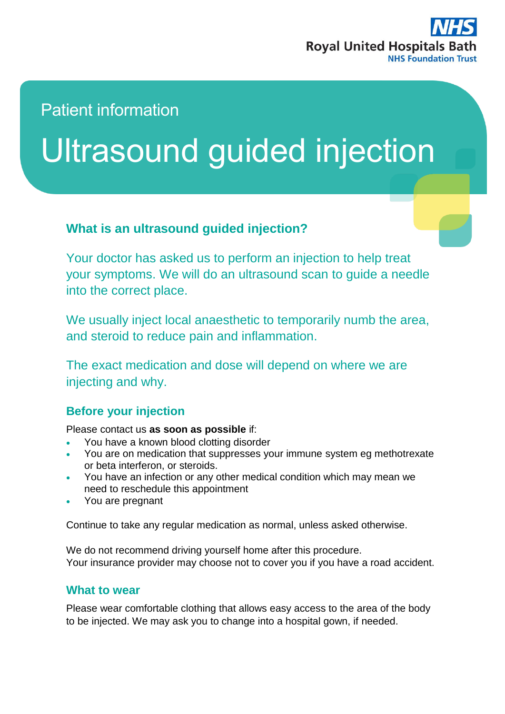

# Patient information

# Ultrasound guided injection

### **What is an ultrasound guided injection?**

Your doctor has asked us to perform an injection to help treat your symptoms. We will do an ultrasound scan to guide a needle into the correct place.

We usually inject local anaesthetic to temporarily numb the area, and steroid to reduce pain and inflammation.

The exact medication and dose will depend on where we are injecting and why.

#### **Before your injection**

Please contact us **as soon as possible** if:

- You have a known blood clotting disorder
- You are on medication that suppresses your immune system eg methotrexate or beta interferon, or steroids.
- You have an infection or any other medical condition which may mean we need to reschedule this appointment
- You are pregnant

Continue to take any regular medication as normal, unless asked otherwise.

We do not recommend driving yourself home after this procedure. Your insurance provider may choose not to cover you if you have a road accident.

#### **What to wear**

Please wear comfortable clothing that allows easy access to the area of the body to be injected. We may ask you to change into a hospital gown, if needed.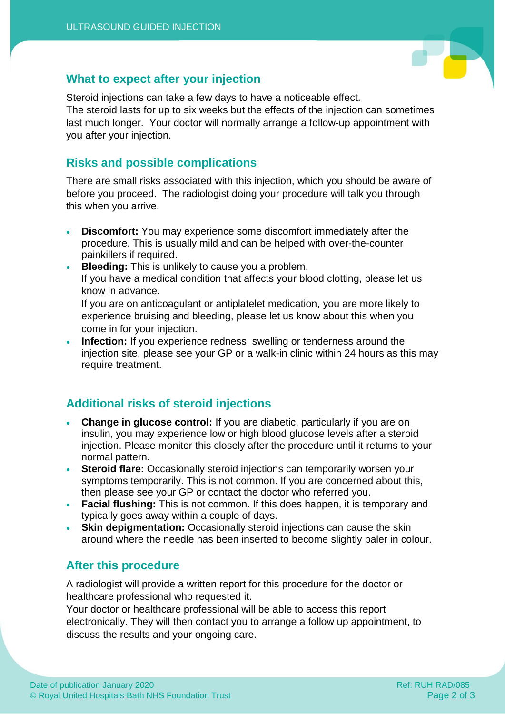

#### **What to expect after your injection**

Steroid injections can take a few days to have a noticeable effect.

The steroid lasts for up to six weeks but the effects of the injection can sometimes last much longer. Your doctor will normally arrange a follow-up appointment with you after your injection.

#### **Risks and possible complications**

There are small risks associated with this injection, which you should be aware of before you proceed. The radiologist doing your procedure will talk you through this when you arrive.

- **Discomfort:** You may experience some discomfort immediately after the procedure. This is usually mild and can be helped with over-the-counter painkillers if required.
- **Bleeding:** This is unlikely to cause you a problem. If you have a medical condition that affects your blood clotting, please let us know in advance.

If you are on anticoagulant or antiplatelet medication, you are more likely to experience bruising and bleeding, please let us know about this when you come in for your injection.

 **Infection:** If you experience redness, swelling or tenderness around the injection site, please see your GP or a walk-in clinic within 24 hours as this may require treatment.

## **Additional risks of steroid injections**

- **Change in glucose control:** If you are diabetic, particularly if you are on insulin, you may experience low or high blood glucose levels after a steroid injection. Please monitor this closely after the procedure until it returns to your normal pattern.
- **Steroid flare:** Occasionally steroid injections can temporarily worsen your symptoms temporarily. This is not common. If you are concerned about this, then please see your GP or contact the doctor who referred you.
- **Facial flushing:** This is not common. If this does happen, it is temporary and typically goes away within a couple of days.
- **Skin depigmentation:** Occasionally steroid injections can cause the skin around where the needle has been inserted to become slightly paler in colour.

#### **After this procedure**

A radiologist will provide a written report for this procedure for the doctor or healthcare professional who requested it.

Your doctor or healthcare professional will be able to access this report electronically. They will then contact you to arrange a follow up appointment, to discuss the results and your ongoing care.